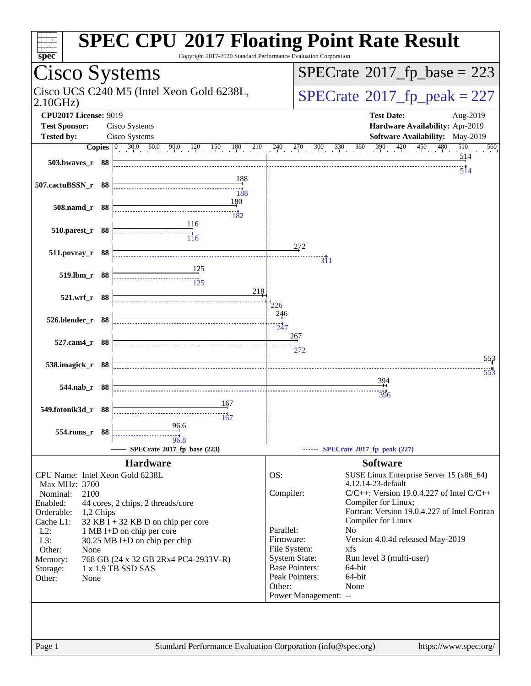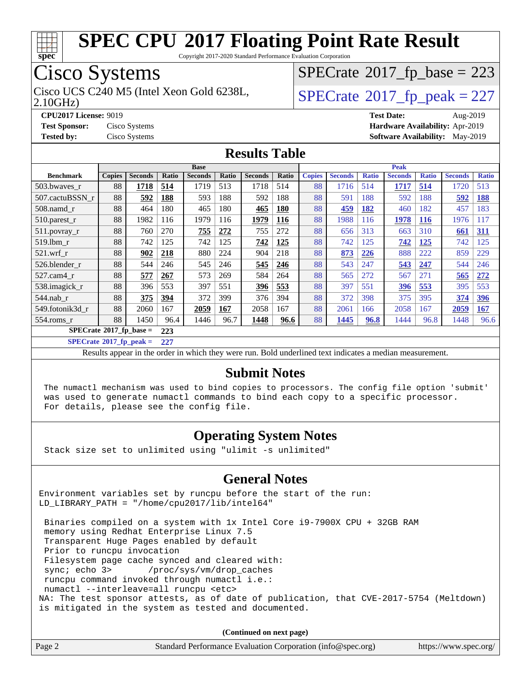

Copyright 2017-2020 Standard Performance Evaluation Corporation

### Cisco Systems

 $SPECTate$ <sup>®</sup>[2017\\_fp\\_base =](http://www.spec.org/auto/cpu2017/Docs/result-fields.html#SPECrate2017fpbase) 223

2.10GHz)

Cisco UCS C240 M5 (Intel Xeon Gold 6238L,  $SPECrate@2017_fp\_peak = 227$  $SPECrate@2017_fp\_peak = 227$ 

**[CPU2017 License:](http://www.spec.org/auto/cpu2017/Docs/result-fields.html#CPU2017License)** 9019 **[Test Date:](http://www.spec.org/auto/cpu2017/Docs/result-fields.html#TestDate)** Aug-2019 **[Test Sponsor:](http://www.spec.org/auto/cpu2017/Docs/result-fields.html#TestSponsor)** Cisco Systems **[Hardware Availability:](http://www.spec.org/auto/cpu2017/Docs/result-fields.html#HardwareAvailability)** Apr-2019 **[Tested by:](http://www.spec.org/auto/cpu2017/Docs/result-fields.html#Testedby)** Cisco Systems **[Software Availability:](http://www.spec.org/auto/cpu2017/Docs/result-fields.html#SoftwareAvailability)** May-2019

#### **[Results Table](http://www.spec.org/auto/cpu2017/Docs/result-fields.html#ResultsTable)**

|                            | <b>Base</b>   |                |       |                |       |                | <b>Peak</b> |               |                |              |                |              |                |              |
|----------------------------|---------------|----------------|-------|----------------|-------|----------------|-------------|---------------|----------------|--------------|----------------|--------------|----------------|--------------|
| <b>Benchmark</b>           | <b>Copies</b> | <b>Seconds</b> | Ratio | <b>Seconds</b> | Ratio | <b>Seconds</b> | Ratio       | <b>Copies</b> | <b>Seconds</b> | <b>Ratio</b> | <b>Seconds</b> | <b>Ratio</b> | <b>Seconds</b> | <b>Ratio</b> |
| 503.bwayes r               | 88            | <u>1718</u>    | 514   | 1719           | 513   | 1718           | 514         | 88            | 1716           | 514          | 1717           | 514          | 1720           | 513          |
| 507.cactuBSSN r            | 88            | 592            | 188   | 593            | 188   | 592            | 188         | 88            | 591            | 188          | 592            | 188          | 592            | <u>188</u>   |
| $508$ .namd $r$            | 88            | 464            | 180   | 465            | 180   | 465            | 180         | 88            | 459            | <b>182</b>   | 460            | 182          | 457            | 183          |
| 510.parest_r               | 88            | 1982           | 116   | 1979           | 116   | 1979           | 116         | 88            | 1988           | 116          | 1978           | <b>116</b>   | 1976           | 117          |
| 511.povray_r               | 88            | 760            | 270   | 755            | 272   | 755            | 272         | 88            | 656            | 313          | 663            | 310          | 661            | <u>311</u>   |
| 519.1bm r                  | 88            | 742            | 125   | 742            | 125   | 742            | 125         | 88            | 742            | 125          | 742            | <u>125</u>   | 742            | 125          |
| $521$ .wrf r               | 88            | 902            | 218   | 880            | 224   | 904            | 218         | 88            | 873            | 226          | 888            | 222          | 859            | 229          |
| 526.blender r              | 88            | 544            | 246   | 545            | 246   | 545            | 246         | 88            | 543            | 247          | 543            | 247          | 544            | 246          |
| $527.cam4_r$               | 88            | 577            | 267   | 573            | 269   | 584            | 264         | 88            | 565            | 272          | 567            | 271          | 565            | 272          |
| 538.imagick_r              | 88            | 396            | 553   | 397            | 551   | <u>396</u>     | 553         | 88            | 397            | 551          | <u>396</u>     | 553          | 395            | 553          |
| 544.nab_r                  | 88            | 375            | 394   | 372            | 399   | 376            | 394         | 88            | 372            | 398          | 375            | 395          | 374            | 396          |
| 549.fotonik3d r            | 88            | 2060           | 167   | 2059           | 167   | 2058           | 167         | 88            | 2061           | 166          | 2058           | 167          | 2059           | 167          |
| $554$ .roms $r$            | 88            | 1450           | 96.4  | 1446           | 96.7  | 1448           | 96.6        | 88            | 1445           | 96.8         | 1444           | 96.8         | 1448           | 96.6         |
| $SPECrate*2017_fp\_base =$ |               | 223            |       |                |       |                |             |               |                |              |                |              |                |              |

**[SPECrate](http://www.spec.org/auto/cpu2017/Docs/result-fields.html#SPECrate2017fppeak)[2017\\_fp\\_peak =](http://www.spec.org/auto/cpu2017/Docs/result-fields.html#SPECrate2017fppeak) 227**

Results appear in the [order in which they were run.](http://www.spec.org/auto/cpu2017/Docs/result-fields.html#RunOrder) Bold underlined text [indicates a median measurement.](http://www.spec.org/auto/cpu2017/Docs/result-fields.html#Median)

#### **[Submit Notes](http://www.spec.org/auto/cpu2017/Docs/result-fields.html#SubmitNotes)**

 The numactl mechanism was used to bind copies to processors. The config file option 'submit' was used to generate numactl commands to bind each copy to a specific processor. For details, please see the config file.

#### **[Operating System Notes](http://www.spec.org/auto/cpu2017/Docs/result-fields.html#OperatingSystemNotes)**

Stack size set to unlimited using "ulimit -s unlimited"

#### **[General Notes](http://www.spec.org/auto/cpu2017/Docs/result-fields.html#GeneralNotes)**

Environment variables set by runcpu before the start of the run: LD\_LIBRARY\_PATH = "/home/cpu2017/lib/intel64"

 Binaries compiled on a system with 1x Intel Core i9-7900X CPU + 32GB RAM memory using Redhat Enterprise Linux 7.5 Transparent Huge Pages enabled by default Prior to runcpu invocation Filesystem page cache synced and cleared with: sync; echo 3> /proc/sys/vm/drop\_caches runcpu command invoked through numactl i.e.: numactl --interleave=all runcpu <etc> NA: The test sponsor attests, as of date of publication, that CVE-2017-5754 (Meltdown) is mitigated in the system as tested and documented.

**(Continued on next page)**

| https://www.spec.org/<br>Standard Performance Evaluation Corporation (info@spec.org) |
|--------------------------------------------------------------------------------------|
|--------------------------------------------------------------------------------------|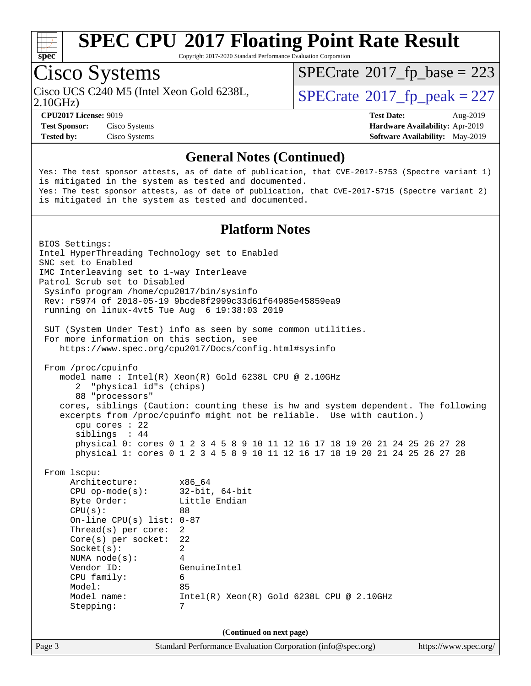

Copyright 2017-2020 Standard Performance Evaluation Corporation

## Cisco Systems

 $SPECTate$ <sup>®</sup>[2017\\_fp\\_base =](http://www.spec.org/auto/cpu2017/Docs/result-fields.html#SPECrate2017fpbase) 223

2.10GHz)

Cisco UCS C240 M5 (Intel Xeon Gold 6238L,  $SPECrate@2017_fp\_peak = 227$  $SPECrate@2017_fp\_peak = 227$ 

**[Tested by:](http://www.spec.org/auto/cpu2017/Docs/result-fields.html#Testedby)** Cisco Systems **[Software Availability:](http://www.spec.org/auto/cpu2017/Docs/result-fields.html#SoftwareAvailability)** May-2019

**[CPU2017 License:](http://www.spec.org/auto/cpu2017/Docs/result-fields.html#CPU2017License)** 9019 **[Test Date:](http://www.spec.org/auto/cpu2017/Docs/result-fields.html#TestDate)** Aug-2019 **[Test Sponsor:](http://www.spec.org/auto/cpu2017/Docs/result-fields.html#TestSponsor)** Cisco Systems **[Hardware Availability:](http://www.spec.org/auto/cpu2017/Docs/result-fields.html#HardwareAvailability)** Apr-2019

#### **[General Notes \(Continued\)](http://www.spec.org/auto/cpu2017/Docs/result-fields.html#GeneralNotes)**

Yes: The test sponsor attests, as of date of publication, that CVE-2017-5753 (Spectre variant 1) is mitigated in the system as tested and documented. Yes: The test sponsor attests, as of date of publication, that CVE-2017-5715 (Spectre variant 2) is mitigated in the system as tested and documented.

#### **[Platform Notes](http://www.spec.org/auto/cpu2017/Docs/result-fields.html#PlatformNotes)**

Page 3 Standard Performance Evaluation Corporation [\(info@spec.org\)](mailto:info@spec.org) <https://www.spec.org/> BIOS Settings: Intel HyperThreading Technology set to Enabled SNC set to Enabled IMC Interleaving set to 1-way Interleave Patrol Scrub set to Disabled Sysinfo program /home/cpu2017/bin/sysinfo Rev: r5974 of 2018-05-19 9bcde8f2999c33d61f64985e45859ea9 running on linux-4vt5 Tue Aug 6 19:38:03 2019 SUT (System Under Test) info as seen by some common utilities. For more information on this section, see <https://www.spec.org/cpu2017/Docs/config.html#sysinfo> From /proc/cpuinfo model name : Intel(R) Xeon(R) Gold 6238L CPU @ 2.10GHz 2 "physical id"s (chips) 88 "processors" cores, siblings (Caution: counting these is hw and system dependent. The following excerpts from /proc/cpuinfo might not be reliable. Use with caution.) cpu cores : 22 siblings : 44 physical 0: cores 0 1 2 3 4 5 8 9 10 11 12 16 17 18 19 20 21 24 25 26 27 28 physical 1: cores 0 1 2 3 4 5 8 9 10 11 12 16 17 18 19 20 21 24 25 26 27 28 From lscpu: Architecture: x86\_64 CPU op-mode(s): 32-bit, 64-bit Byte Order: Little Endian  $CPU(s):$  88 On-line CPU(s) list: 0-87 Thread(s) per core: 2 Core(s) per socket: 22 Socket(s): 2 NUMA node(s): 4 Vendor ID: GenuineIntel CPU family: 6 Model: 85 Model name: Intel(R) Xeon(R) Gold 6238L CPU @ 2.10GHz Stepping: 7 **(Continued on next page)**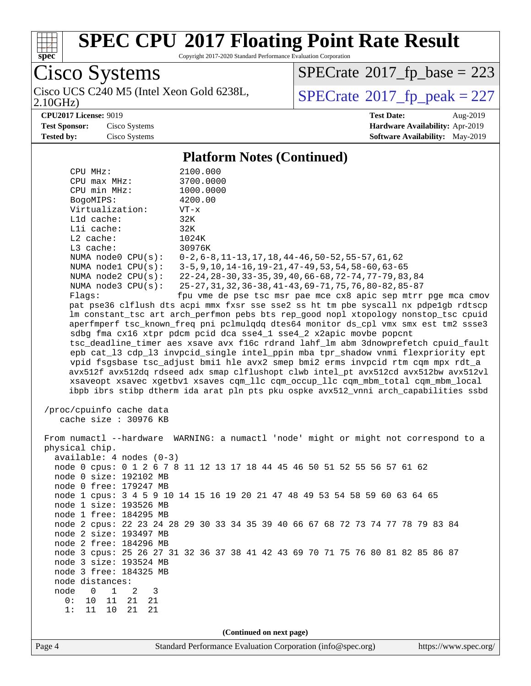

Copyright 2017-2020 Standard Performance Evaluation Corporation

Cisco Systems<br>Cisco UCS C240 M5 (Intel Xeon Gold 6238L, 2.10GHz)

 $SPECrate$ <sup>®</sup>[2017\\_fp\\_base =](http://www.spec.org/auto/cpu2017/Docs/result-fields.html#SPECrate2017fpbase) 223

 $SPECTate$ <sup>®</sup>[2017\\_fp\\_peak = 2](http://www.spec.org/auto/cpu2017/Docs/result-fields.html#SPECrate2017fppeak)27

**[CPU2017 License:](http://www.spec.org/auto/cpu2017/Docs/result-fields.html#CPU2017License)** 9019 **[Test Date:](http://www.spec.org/auto/cpu2017/Docs/result-fields.html#TestDate)** Aug-2019

**[Test Sponsor:](http://www.spec.org/auto/cpu2017/Docs/result-fields.html#TestSponsor)** Cisco Systems **[Hardware Availability:](http://www.spec.org/auto/cpu2017/Docs/result-fields.html#HardwareAvailability)** Apr-2019 **[Tested by:](http://www.spec.org/auto/cpu2017/Docs/result-fields.html#Testedby)** Cisco Systems **[Software Availability:](http://www.spec.org/auto/cpu2017/Docs/result-fields.html#SoftwareAvailability)** May-2019

#### **[Platform Notes \(Continued\)](http://www.spec.org/auto/cpu2017/Docs/result-fields.html#PlatformNotes)**

| CPU MHz:                                                                             | 2100.000                                                                             |  |  |  |  |  |  |  |
|--------------------------------------------------------------------------------------|--------------------------------------------------------------------------------------|--|--|--|--|--|--|--|
| $CPU$ $max$ $MHz$ :                                                                  | 3700.0000                                                                            |  |  |  |  |  |  |  |
| CPU min MHz:                                                                         | 1000.0000                                                                            |  |  |  |  |  |  |  |
| BogoMIPS:                                                                            | 4200.00                                                                              |  |  |  |  |  |  |  |
| Virtualization:                                                                      | $VT - x$                                                                             |  |  |  |  |  |  |  |
| L1d cache:                                                                           | 32K                                                                                  |  |  |  |  |  |  |  |
| Lli cache:                                                                           | 32K                                                                                  |  |  |  |  |  |  |  |
| $L2$ cache:                                                                          | 1024K                                                                                |  |  |  |  |  |  |  |
| L3 cache:<br>NUMA node0 CPU(s):                                                      | 30976K<br>$0-2, 6-8, 11-13, 17, 18, 44-46, 50-52, 55-57, 61, 62$                     |  |  |  |  |  |  |  |
| NUMA $node1$ $CPU(s):$                                                               | 3-5, 9, 10, 14-16, 19-21, 47-49, 53, 54, 58-60, 63-65                                |  |  |  |  |  |  |  |
| NUMA $node2$ $CPU(s):$                                                               | 22-24, 28-30, 33-35, 39, 40, 66-68, 72-74, 77-79, 83, 84                             |  |  |  |  |  |  |  |
| NUMA $node3$ $CPU(s):$                                                               | 25-27, 31, 32, 36-38, 41-43, 69-71, 75, 76, 80-82, 85-87                             |  |  |  |  |  |  |  |
| Flaqs:                                                                               | fpu vme de pse tsc msr pae mce cx8 apic sep mtrr pge mca cmov                        |  |  |  |  |  |  |  |
|                                                                                      | pat pse36 clflush dts acpi mmx fxsr sse sse2 ss ht tm pbe syscall nx pdpelgb rdtscp  |  |  |  |  |  |  |  |
|                                                                                      | lm constant_tsc art arch_perfmon pebs bts rep_good nopl xtopology nonstop_tsc cpuid  |  |  |  |  |  |  |  |
|                                                                                      | aperfmperf tsc_known_freq pni pclmulqdq dtes64 monitor ds_cpl vmx smx est tm2 ssse3  |  |  |  |  |  |  |  |
|                                                                                      | sdbg fma cx16 xtpr pdcm pcid dca sse4_1 sse4_2 x2apic movbe popcnt                   |  |  |  |  |  |  |  |
| tsc_deadline_timer aes xsave avx f16c rdrand lahf_lm abm 3dnowprefetch cpuid_fault   |                                                                                      |  |  |  |  |  |  |  |
| epb cat_13 cdp_13 invpcid_single intel_ppin mba tpr_shadow vnmi flexpriority ept     |                                                                                      |  |  |  |  |  |  |  |
| vpid fsgsbase tsc_adjust bmil hle avx2 smep bmi2 erms invpcid rtm cqm mpx rdt_a      |                                                                                      |  |  |  |  |  |  |  |
|                                                                                      | avx512f avx512dq rdseed adx smap clflushopt clwb intel_pt avx512cd avx512bw avx512vl |  |  |  |  |  |  |  |
|                                                                                      | xsaveopt xsavec xgetbvl xsaves cqm_llc cqm_occup_llc cqm_mbm_total cqm_mbm_local     |  |  |  |  |  |  |  |
|                                                                                      | ibpb ibrs stibp dtherm ida arat pln pts pku ospke avx512_vnni arch_capabilities ssbd |  |  |  |  |  |  |  |
| /proc/cpuinfo cache data<br>cache size : 30976 KB                                    |                                                                                      |  |  |  |  |  |  |  |
| From numactl --hardware WARNING: a numactl 'node' might or might not correspond to a |                                                                                      |  |  |  |  |  |  |  |
| physical chip.                                                                       |                                                                                      |  |  |  |  |  |  |  |
| $available: 4 nodes (0-3)$                                                           |                                                                                      |  |  |  |  |  |  |  |
|                                                                                      | node 0 cpus: 0 1 2 6 7 8 11 12 13 17 18 44 45 46 50 51 52 55 56 57 61 62             |  |  |  |  |  |  |  |
| node 0 size: 192102 MB                                                               |                                                                                      |  |  |  |  |  |  |  |
| node 0 free: 179247 MB                                                               |                                                                                      |  |  |  |  |  |  |  |
|                                                                                      | node 1 cpus: 3 4 5 9 10 14 15 16 19 20 21 47 48 49 53 54 58 59 60 63 64 65           |  |  |  |  |  |  |  |
| node 1 size: 193526 MB                                                               |                                                                                      |  |  |  |  |  |  |  |
| node 1 free: 184295 MB                                                               |                                                                                      |  |  |  |  |  |  |  |
|                                                                                      | node 2 cpus: 22 23 24 28 29 30 33 34 35 39 40 66 67 68 72 73 74 77 78 79 83 84       |  |  |  |  |  |  |  |
| node 2 size: 193497 MB                                                               |                                                                                      |  |  |  |  |  |  |  |
| node 2 free: 184296 MB                                                               |                                                                                      |  |  |  |  |  |  |  |
|                                                                                      | node 3 cpus: 25 26 27 31 32 36 37 38 41 42 43 69 70 71 75 76 80 81 82 85 86 87       |  |  |  |  |  |  |  |
| node 3 size: 193524 MB<br>node 3 free: 184325 MB                                     |                                                                                      |  |  |  |  |  |  |  |
| node distances:                                                                      |                                                                                      |  |  |  |  |  |  |  |
| node<br>0<br>$\mathbf 1$<br>2<br>3                                                   |                                                                                      |  |  |  |  |  |  |  |
| 0:<br>10<br>11<br>21<br>21                                                           |                                                                                      |  |  |  |  |  |  |  |
| 1:<br>11<br>10<br>21<br>21                                                           |                                                                                      |  |  |  |  |  |  |  |
|                                                                                      |                                                                                      |  |  |  |  |  |  |  |
|                                                                                      |                                                                                      |  |  |  |  |  |  |  |
| (Continued on next page)                                                             |                                                                                      |  |  |  |  |  |  |  |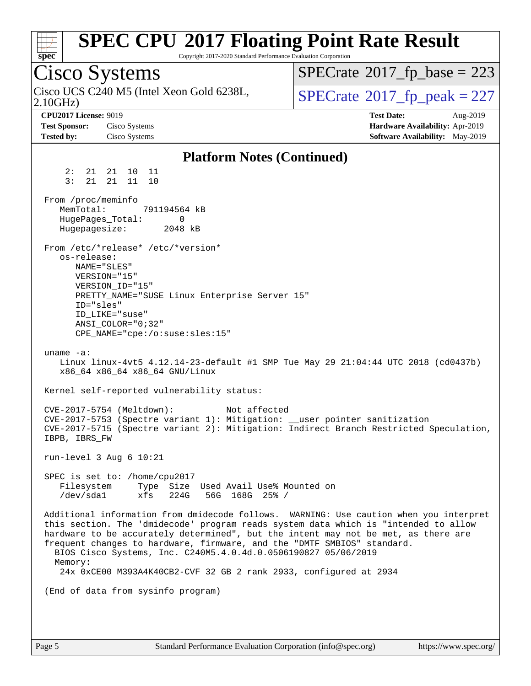| S)<br>оe<br>L. |  |  |  |  |  |  |
|----------------|--|--|--|--|--|--|

Copyright 2017-2020 Standard Performance Evaluation Corporation

Cisco Systems 2.10GHz) Cisco UCS C240 M5 (Intel Xeon Gold 6238L,  $SPECrate@2017_fp\_peak = 227$  $SPECrate@2017_fp\_peak = 227$  $SPECTate$ <sup>®</sup>[2017\\_fp\\_base =](http://www.spec.org/auto/cpu2017/Docs/result-fields.html#SPECrate2017fpbase) 223 **[CPU2017 License:](http://www.spec.org/auto/cpu2017/Docs/result-fields.html#CPU2017License)** 9019 **[Test Date:](http://www.spec.org/auto/cpu2017/Docs/result-fields.html#TestDate)** Aug-2019 **[Test Sponsor:](http://www.spec.org/auto/cpu2017/Docs/result-fields.html#TestSponsor)** Cisco Systems **[Hardware Availability:](http://www.spec.org/auto/cpu2017/Docs/result-fields.html#HardwareAvailability)** Apr-2019 **[Tested by:](http://www.spec.org/auto/cpu2017/Docs/result-fields.html#Testedby)** Cisco Systems **[Software Availability:](http://www.spec.org/auto/cpu2017/Docs/result-fields.html#SoftwareAvailability)** May-2019 **[Platform Notes \(Continued\)](http://www.spec.org/auto/cpu2017/Docs/result-fields.html#PlatformNotes)** 2: 21 21 10 11 3: 21 21 11 10 From /proc/meminfo MemTotal: 791194564 kB HugePages\_Total: 0 Hugepagesize: 2048 kB From /etc/\*release\* /etc/\*version\* os-release: NAME="SLES" VERSION="15" VERSION\_ID="15" PRETTY\_NAME="SUSE Linux Enterprise Server 15" ID="sles" ID\_LIKE="suse" ANSI\_COLOR="0;32" CPE\_NAME="cpe:/o:suse:sles:15" uname -a: Linux linux-4vt5 4.12.14-23-default #1 SMP Tue May 29 21:04:44 UTC 2018 (cd0437b) x86\_64 x86\_64 x86\_64 GNU/Linux Kernel self-reported vulnerability status: CVE-2017-5754 (Meltdown): Not affected CVE-2017-5753 (Spectre variant 1): Mitigation: \_\_user pointer sanitization CVE-2017-5715 (Spectre variant 2): Mitigation: Indirect Branch Restricted Speculation, IBPB, IBRS\_FW run-level 3 Aug 6 10:21 SPEC is set to: /home/cpu2017 Filesystem Type Size Used Avail Use% Mounted on /dev/sda1 xfs 224G 56G 168G 25% / Additional information from dmidecode follows. WARNING: Use caution when you interpret this section. The 'dmidecode' program reads system data which is "intended to allow hardware to be accurately determined", but the intent may not be met, as there are frequent changes to hardware, firmware, and the "DMTF SMBIOS" standard. BIOS Cisco Systems, Inc. C240M5.4.0.4d.0.0506190827 05/06/2019 Memory: 24x 0xCE00 M393A4K40CB2-CVF 32 GB 2 rank 2933, configured at 2934 (End of data from sysinfo program)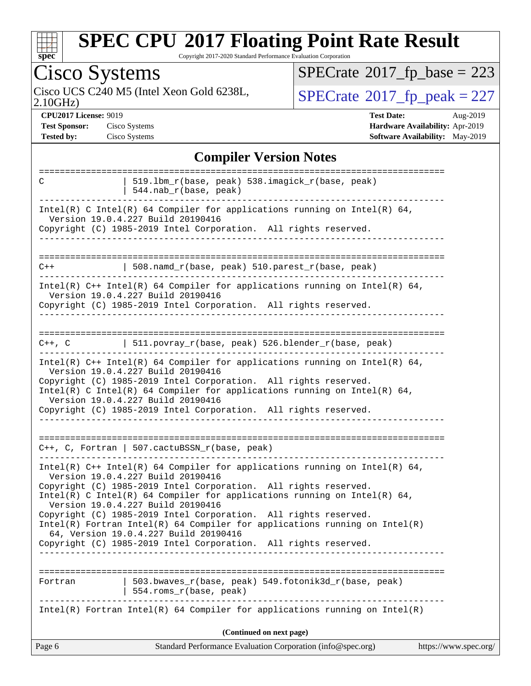

Copyright 2017-2020 Standard Performance Evaluation Corporation

| Cisco Systems                                                             |                                                                                                                                                                                                                                                                                                                                                                                                                                                                                                                                                                      | $SPECTate$ <sup>®</sup> 2017_fp_base = 223                                                          |
|---------------------------------------------------------------------------|----------------------------------------------------------------------------------------------------------------------------------------------------------------------------------------------------------------------------------------------------------------------------------------------------------------------------------------------------------------------------------------------------------------------------------------------------------------------------------------------------------------------------------------------------------------------|-----------------------------------------------------------------------------------------------------|
| 2.10GHz                                                                   | Cisco UCS C240 M5 (Intel Xeon Gold 6238L,                                                                                                                                                                                                                                                                                                                                                                                                                                                                                                                            | $SPECTate@2017_fp\_peak = 227$                                                                      |
| <b>CPU2017 License: 9019</b><br><b>Test Sponsor:</b><br><b>Tested by:</b> | Cisco Systems<br>Cisco Systems                                                                                                                                                                                                                                                                                                                                                                                                                                                                                                                                       | <b>Test Date:</b><br>Aug-2019<br>Hardware Availability: Apr-2019<br>Software Availability: May-2019 |
|                                                                           | <b>Compiler Version Notes</b>                                                                                                                                                                                                                                                                                                                                                                                                                                                                                                                                        |                                                                                                     |
| ===================<br>C                                                  | 519.1bm_r(base, peak) 538.imagick_r(base, peak)<br>544.nab_r(base, peak)                                                                                                                                                                                                                                                                                                                                                                                                                                                                                             |                                                                                                     |
|                                                                           | Intel(R) C Intel(R) 64 Compiler for applications running on Intel(R) 64,<br>Version 19.0.4.227 Build 20190416<br>Copyright (C) 1985-2019 Intel Corporation. All rights reserved.                                                                                                                                                                                                                                                                                                                                                                                     |                                                                                                     |
| $C++$                                                                     | 508.namd_r(base, peak) 510.parest_r(base, peak)                                                                                                                                                                                                                                                                                                                                                                                                                                                                                                                      |                                                                                                     |
|                                                                           | Intel(R) $C++$ Intel(R) 64 Compiler for applications running on Intel(R) 64,<br>Version 19.0.4.227 Build 20190416<br>Copyright (C) 1985-2019 Intel Corporation. All rights reserved.                                                                                                                                                                                                                                                                                                                                                                                 |                                                                                                     |
| $C++$ , $C$                                                               | 511.povray_r(base, peak) 526.blender_r(base, peak)                                                                                                                                                                                                                                                                                                                                                                                                                                                                                                                   |                                                                                                     |
|                                                                           | $Intel(R)$ C++ Intel(R) 64 Compiler for applications running on Intel(R) 64,<br>Version 19.0.4.227 Build 20190416<br>Copyright (C) 1985-2019 Intel Corporation. All rights reserved.<br>Intel(R) C Intel(R) 64 Compiler for applications running on Intel(R) 64,<br>Version 19.0.4.227 Build 20190416<br>Copyright (C) 1985-2019 Intel Corporation. All rights reserved.                                                                                                                                                                                             |                                                                                                     |
|                                                                           | C++, C, Fortran   507.cactuBSSN_r(base, peak)                                                                                                                                                                                                                                                                                                                                                                                                                                                                                                                        |                                                                                                     |
|                                                                           | Intel(R) $C++$ Intel(R) 64 Compiler for applications running on Intel(R) 64,<br>Version 19.0.4.227 Build 20190416<br>Copyright (C) 1985-2019 Intel Corporation. All rights reserved.<br>Intel(R) C Intel(R) 64 Compiler for applications running on Intel(R) 64,<br>Version 19.0.4.227 Build 20190416<br>Copyright (C) 1985-2019 Intel Corporation. All rights reserved.<br>$Intel(R)$ Fortran Intel(R) 64 Compiler for applications running on Intel(R)<br>64, Version 19.0.4.227 Build 20190416<br>Copyright (C) 1985-2019 Intel Corporation. All rights reserved. |                                                                                                     |
| Fortran                                                                   | 503.bwaves_r(base, peak) 549.fotonik3d_r(base, peak)<br>554.roms_r(base, peak)                                                                                                                                                                                                                                                                                                                                                                                                                                                                                       |                                                                                                     |
|                                                                           | $Intel(R)$ Fortran Intel(R) 64 Compiler for applications running on Intel(R)                                                                                                                                                                                                                                                                                                                                                                                                                                                                                         |                                                                                                     |
|                                                                           | (Continued on next page)                                                                                                                                                                                                                                                                                                                                                                                                                                                                                                                                             |                                                                                                     |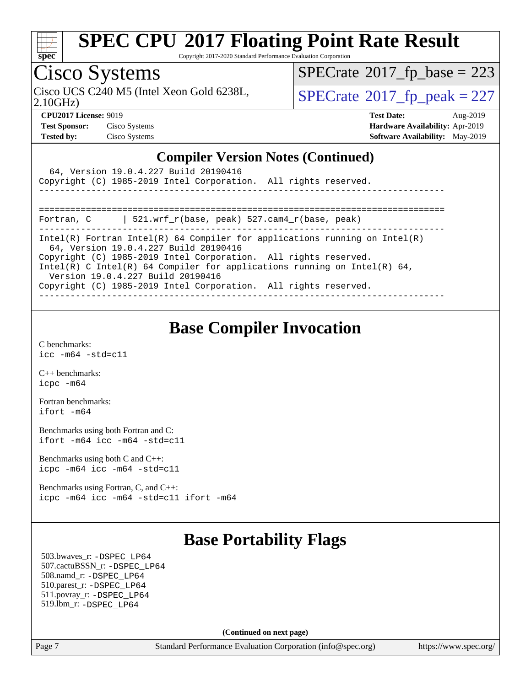

Copyright 2017-2020 Standard Performance Evaluation Corporation

### Cisco Systems

 $SPECTate$ <sup>®</sup>[2017\\_fp\\_base =](http://www.spec.org/auto/cpu2017/Docs/result-fields.html#SPECrate2017fpbase) 223

2.10GHz)

Cisco UCS C240 M5 (Intel Xeon Gold 6238L,  $SPECrate@2017_fp\_peak = 227$  $SPECrate@2017_fp\_peak = 227$ 

**[CPU2017 License:](http://www.spec.org/auto/cpu2017/Docs/result-fields.html#CPU2017License)** 9019 **[Test Date:](http://www.spec.org/auto/cpu2017/Docs/result-fields.html#TestDate)** Aug-2019 **[Test Sponsor:](http://www.spec.org/auto/cpu2017/Docs/result-fields.html#TestSponsor)** Cisco Systems **[Hardware Availability:](http://www.spec.org/auto/cpu2017/Docs/result-fields.html#HardwareAvailability)** Apr-2019 **[Tested by:](http://www.spec.org/auto/cpu2017/Docs/result-fields.html#Testedby)** Cisco Systems **[Software Availability:](http://www.spec.org/auto/cpu2017/Docs/result-fields.html#SoftwareAvailability)** May-2019

#### **[Compiler Version Notes \(Continued\)](http://www.spec.org/auto/cpu2017/Docs/result-fields.html#CompilerVersionNotes)**

| 64, Version 19.0.4.227 Build 20190416<br>Copyright (C) 1985-2019 Intel Corporation. All rights reserved.                                                                                                                                                                                                                                                                   |
|----------------------------------------------------------------------------------------------------------------------------------------------------------------------------------------------------------------------------------------------------------------------------------------------------------------------------------------------------------------------------|
| 521.wrf r(base, peak) 527.cam4 r(base, peak)<br>Fortran, C                                                                                                                                                                                                                                                                                                                 |
| Intel(R) Fortran Intel(R) 64 Compiler for applications running on Intel(R)<br>64, Version 19.0.4.227 Build 20190416<br>Copyright (C) 1985-2019 Intel Corporation. All rights reserved.<br>Intel(R) C Intel(R) 64 Compiler for applications running on Intel(R) 64,<br>Version 19.0.4.227 Build 20190416<br>Copyright (C) 1985-2019 Intel Corporation. All rights reserved. |
|                                                                                                                                                                                                                                                                                                                                                                            |

#### **[Base Compiler Invocation](http://www.spec.org/auto/cpu2017/Docs/result-fields.html#BaseCompilerInvocation)**

[C benchmarks](http://www.spec.org/auto/cpu2017/Docs/result-fields.html#Cbenchmarks): [icc -m64 -std=c11](http://www.spec.org/cpu2017/results/res2019q3/cpu2017-20190819-16779.flags.html#user_CCbase_intel_icc_64bit_c11_33ee0cdaae7deeeab2a9725423ba97205ce30f63b9926c2519791662299b76a0318f32ddfffdc46587804de3178b4f9328c46fa7c2b0cd779d7a61945c91cd35)

[C++ benchmarks:](http://www.spec.org/auto/cpu2017/Docs/result-fields.html#CXXbenchmarks) [icpc -m64](http://www.spec.org/cpu2017/results/res2019q3/cpu2017-20190819-16779.flags.html#user_CXXbase_intel_icpc_64bit_4ecb2543ae3f1412ef961e0650ca070fec7b7afdcd6ed48761b84423119d1bf6bdf5cad15b44d48e7256388bc77273b966e5eb805aefd121eb22e9299b2ec9d9)

[Fortran benchmarks](http://www.spec.org/auto/cpu2017/Docs/result-fields.html#Fortranbenchmarks): [ifort -m64](http://www.spec.org/cpu2017/results/res2019q3/cpu2017-20190819-16779.flags.html#user_FCbase_intel_ifort_64bit_24f2bb282fbaeffd6157abe4f878425411749daecae9a33200eee2bee2fe76f3b89351d69a8130dd5949958ce389cf37ff59a95e7a40d588e8d3a57e0c3fd751)

[Benchmarks using both Fortran and C](http://www.spec.org/auto/cpu2017/Docs/result-fields.html#BenchmarksusingbothFortranandC): [ifort -m64](http://www.spec.org/cpu2017/results/res2019q3/cpu2017-20190819-16779.flags.html#user_CC_FCbase_intel_ifort_64bit_24f2bb282fbaeffd6157abe4f878425411749daecae9a33200eee2bee2fe76f3b89351d69a8130dd5949958ce389cf37ff59a95e7a40d588e8d3a57e0c3fd751) [icc -m64 -std=c11](http://www.spec.org/cpu2017/results/res2019q3/cpu2017-20190819-16779.flags.html#user_CC_FCbase_intel_icc_64bit_c11_33ee0cdaae7deeeab2a9725423ba97205ce30f63b9926c2519791662299b76a0318f32ddfffdc46587804de3178b4f9328c46fa7c2b0cd779d7a61945c91cd35)

[Benchmarks using both C and C++](http://www.spec.org/auto/cpu2017/Docs/result-fields.html#BenchmarksusingbothCandCXX): [icpc -m64](http://www.spec.org/cpu2017/results/res2019q3/cpu2017-20190819-16779.flags.html#user_CC_CXXbase_intel_icpc_64bit_4ecb2543ae3f1412ef961e0650ca070fec7b7afdcd6ed48761b84423119d1bf6bdf5cad15b44d48e7256388bc77273b966e5eb805aefd121eb22e9299b2ec9d9) [icc -m64 -std=c11](http://www.spec.org/cpu2017/results/res2019q3/cpu2017-20190819-16779.flags.html#user_CC_CXXbase_intel_icc_64bit_c11_33ee0cdaae7deeeab2a9725423ba97205ce30f63b9926c2519791662299b76a0318f32ddfffdc46587804de3178b4f9328c46fa7c2b0cd779d7a61945c91cd35)

[Benchmarks using Fortran, C, and C++:](http://www.spec.org/auto/cpu2017/Docs/result-fields.html#BenchmarksusingFortranCandCXX) [icpc -m64](http://www.spec.org/cpu2017/results/res2019q3/cpu2017-20190819-16779.flags.html#user_CC_CXX_FCbase_intel_icpc_64bit_4ecb2543ae3f1412ef961e0650ca070fec7b7afdcd6ed48761b84423119d1bf6bdf5cad15b44d48e7256388bc77273b966e5eb805aefd121eb22e9299b2ec9d9) [icc -m64 -std=c11](http://www.spec.org/cpu2017/results/res2019q3/cpu2017-20190819-16779.flags.html#user_CC_CXX_FCbase_intel_icc_64bit_c11_33ee0cdaae7deeeab2a9725423ba97205ce30f63b9926c2519791662299b76a0318f32ddfffdc46587804de3178b4f9328c46fa7c2b0cd779d7a61945c91cd35) [ifort -m64](http://www.spec.org/cpu2017/results/res2019q3/cpu2017-20190819-16779.flags.html#user_CC_CXX_FCbase_intel_ifort_64bit_24f2bb282fbaeffd6157abe4f878425411749daecae9a33200eee2bee2fe76f3b89351d69a8130dd5949958ce389cf37ff59a95e7a40d588e8d3a57e0c3fd751)

#### **[Base Portability Flags](http://www.spec.org/auto/cpu2017/Docs/result-fields.html#BasePortabilityFlags)**

 503.bwaves\_r: [-DSPEC\\_LP64](http://www.spec.org/cpu2017/results/res2019q3/cpu2017-20190819-16779.flags.html#suite_basePORTABILITY503_bwaves_r_DSPEC_LP64) 507.cactuBSSN\_r: [-DSPEC\\_LP64](http://www.spec.org/cpu2017/results/res2019q3/cpu2017-20190819-16779.flags.html#suite_basePORTABILITY507_cactuBSSN_r_DSPEC_LP64) 508.namd\_r: [-DSPEC\\_LP64](http://www.spec.org/cpu2017/results/res2019q3/cpu2017-20190819-16779.flags.html#suite_basePORTABILITY508_namd_r_DSPEC_LP64) 510.parest\_r: [-DSPEC\\_LP64](http://www.spec.org/cpu2017/results/res2019q3/cpu2017-20190819-16779.flags.html#suite_basePORTABILITY510_parest_r_DSPEC_LP64) 511.povray\_r: [-DSPEC\\_LP64](http://www.spec.org/cpu2017/results/res2019q3/cpu2017-20190819-16779.flags.html#suite_basePORTABILITY511_povray_r_DSPEC_LP64) 519.lbm\_r: [-DSPEC\\_LP64](http://www.spec.org/cpu2017/results/res2019q3/cpu2017-20190819-16779.flags.html#suite_basePORTABILITY519_lbm_r_DSPEC_LP64)

**(Continued on next page)**

Page 7 Standard Performance Evaluation Corporation [\(info@spec.org\)](mailto:info@spec.org) <https://www.spec.org/>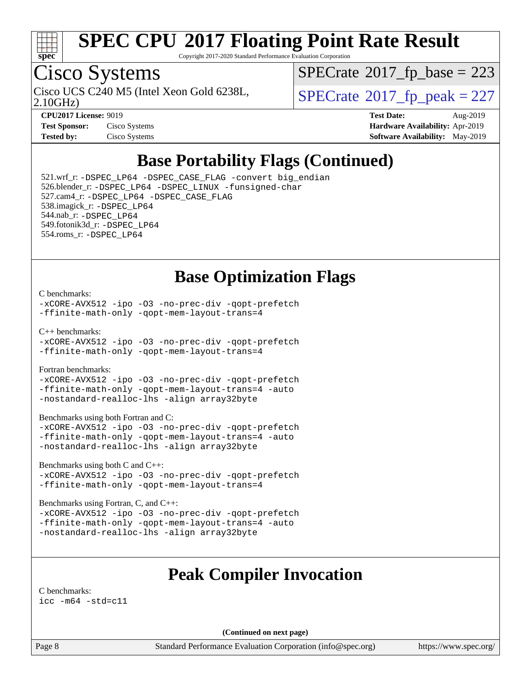

Copyright 2017-2020 Standard Performance Evaluation Corporation

## Cisco Systems

 $SPECTate$ <sup>®</sup>[2017\\_fp\\_base =](http://www.spec.org/auto/cpu2017/Docs/result-fields.html#SPECrate2017fpbase) 223

2.10GHz)

Cisco UCS C240 M5 (Intel Xeon Gold 6238L,  $SPECrate@2017_fp\_peak = 227$  $SPECrate@2017_fp\_peak = 227$ 

**[CPU2017 License:](http://www.spec.org/auto/cpu2017/Docs/result-fields.html#CPU2017License)** 9019 **[Test Date:](http://www.spec.org/auto/cpu2017/Docs/result-fields.html#TestDate)** Aug-2019 **[Test Sponsor:](http://www.spec.org/auto/cpu2017/Docs/result-fields.html#TestSponsor)** Cisco Systems **[Hardware Availability:](http://www.spec.org/auto/cpu2017/Docs/result-fields.html#HardwareAvailability)** Apr-2019 **[Tested by:](http://www.spec.org/auto/cpu2017/Docs/result-fields.html#Testedby)** Cisco Systems **[Software Availability:](http://www.spec.org/auto/cpu2017/Docs/result-fields.html#SoftwareAvailability)** May-2019

### **[Base Portability Flags \(Continued\)](http://www.spec.org/auto/cpu2017/Docs/result-fields.html#BasePortabilityFlags)**

 521.wrf\_r: [-DSPEC\\_LP64](http://www.spec.org/cpu2017/results/res2019q3/cpu2017-20190819-16779.flags.html#suite_basePORTABILITY521_wrf_r_DSPEC_LP64) [-DSPEC\\_CASE\\_FLAG](http://www.spec.org/cpu2017/results/res2019q3/cpu2017-20190819-16779.flags.html#b521.wrf_r_baseCPORTABILITY_DSPEC_CASE_FLAG) [-convert big\\_endian](http://www.spec.org/cpu2017/results/res2019q3/cpu2017-20190819-16779.flags.html#user_baseFPORTABILITY521_wrf_r_convert_big_endian_c3194028bc08c63ac5d04de18c48ce6d347e4e562e8892b8bdbdc0214820426deb8554edfa529a3fb25a586e65a3d812c835984020483e7e73212c4d31a38223) 526.blender\_r: [-DSPEC\\_LP64](http://www.spec.org/cpu2017/results/res2019q3/cpu2017-20190819-16779.flags.html#suite_basePORTABILITY526_blender_r_DSPEC_LP64) [-DSPEC\\_LINUX](http://www.spec.org/cpu2017/results/res2019q3/cpu2017-20190819-16779.flags.html#b526.blender_r_baseCPORTABILITY_DSPEC_LINUX) [-funsigned-char](http://www.spec.org/cpu2017/results/res2019q3/cpu2017-20190819-16779.flags.html#user_baseCPORTABILITY526_blender_r_force_uchar_40c60f00ab013830e2dd6774aeded3ff59883ba5a1fc5fc14077f794d777847726e2a5858cbc7672e36e1b067e7e5c1d9a74f7176df07886a243d7cc18edfe67) 527.cam4\_r: [-DSPEC\\_LP64](http://www.spec.org/cpu2017/results/res2019q3/cpu2017-20190819-16779.flags.html#suite_basePORTABILITY527_cam4_r_DSPEC_LP64) [-DSPEC\\_CASE\\_FLAG](http://www.spec.org/cpu2017/results/res2019q3/cpu2017-20190819-16779.flags.html#b527.cam4_r_baseCPORTABILITY_DSPEC_CASE_FLAG) 538.imagick\_r: [-DSPEC\\_LP64](http://www.spec.org/cpu2017/results/res2019q3/cpu2017-20190819-16779.flags.html#suite_basePORTABILITY538_imagick_r_DSPEC_LP64) 544.nab\_r: [-DSPEC\\_LP64](http://www.spec.org/cpu2017/results/res2019q3/cpu2017-20190819-16779.flags.html#suite_basePORTABILITY544_nab_r_DSPEC_LP64) 549.fotonik3d\_r: [-DSPEC\\_LP64](http://www.spec.org/cpu2017/results/res2019q3/cpu2017-20190819-16779.flags.html#suite_basePORTABILITY549_fotonik3d_r_DSPEC_LP64) 554.roms\_r: [-DSPEC\\_LP64](http://www.spec.org/cpu2017/results/res2019q3/cpu2017-20190819-16779.flags.html#suite_basePORTABILITY554_roms_r_DSPEC_LP64)

#### **[Base Optimization Flags](http://www.spec.org/auto/cpu2017/Docs/result-fields.html#BaseOptimizationFlags)**

#### [C benchmarks](http://www.spec.org/auto/cpu2017/Docs/result-fields.html#Cbenchmarks):

[-xCORE-AVX512](http://www.spec.org/cpu2017/results/res2019q3/cpu2017-20190819-16779.flags.html#user_CCbase_f-xCORE-AVX512) [-ipo](http://www.spec.org/cpu2017/results/res2019q3/cpu2017-20190819-16779.flags.html#user_CCbase_f-ipo) [-O3](http://www.spec.org/cpu2017/results/res2019q3/cpu2017-20190819-16779.flags.html#user_CCbase_f-O3) [-no-prec-div](http://www.spec.org/cpu2017/results/res2019q3/cpu2017-20190819-16779.flags.html#user_CCbase_f-no-prec-div) [-qopt-prefetch](http://www.spec.org/cpu2017/results/res2019q3/cpu2017-20190819-16779.flags.html#user_CCbase_f-qopt-prefetch) [-ffinite-math-only](http://www.spec.org/cpu2017/results/res2019q3/cpu2017-20190819-16779.flags.html#user_CCbase_f_finite_math_only_cb91587bd2077682c4b38af759c288ed7c732db004271a9512da14a4f8007909a5f1427ecbf1a0fb78ff2a814402c6114ac565ca162485bbcae155b5e4258871) [-qopt-mem-layout-trans=4](http://www.spec.org/cpu2017/results/res2019q3/cpu2017-20190819-16779.flags.html#user_CCbase_f-qopt-mem-layout-trans_fa39e755916c150a61361b7846f310bcdf6f04e385ef281cadf3647acec3f0ae266d1a1d22d972a7087a248fd4e6ca390a3634700869573d231a252c784941a8)

[C++ benchmarks:](http://www.spec.org/auto/cpu2017/Docs/result-fields.html#CXXbenchmarks)

[-xCORE-AVX512](http://www.spec.org/cpu2017/results/res2019q3/cpu2017-20190819-16779.flags.html#user_CXXbase_f-xCORE-AVX512) [-ipo](http://www.spec.org/cpu2017/results/res2019q3/cpu2017-20190819-16779.flags.html#user_CXXbase_f-ipo) [-O3](http://www.spec.org/cpu2017/results/res2019q3/cpu2017-20190819-16779.flags.html#user_CXXbase_f-O3) [-no-prec-div](http://www.spec.org/cpu2017/results/res2019q3/cpu2017-20190819-16779.flags.html#user_CXXbase_f-no-prec-div) [-qopt-prefetch](http://www.spec.org/cpu2017/results/res2019q3/cpu2017-20190819-16779.flags.html#user_CXXbase_f-qopt-prefetch) [-ffinite-math-only](http://www.spec.org/cpu2017/results/res2019q3/cpu2017-20190819-16779.flags.html#user_CXXbase_f_finite_math_only_cb91587bd2077682c4b38af759c288ed7c732db004271a9512da14a4f8007909a5f1427ecbf1a0fb78ff2a814402c6114ac565ca162485bbcae155b5e4258871) [-qopt-mem-layout-trans=4](http://www.spec.org/cpu2017/results/res2019q3/cpu2017-20190819-16779.flags.html#user_CXXbase_f-qopt-mem-layout-trans_fa39e755916c150a61361b7846f310bcdf6f04e385ef281cadf3647acec3f0ae266d1a1d22d972a7087a248fd4e6ca390a3634700869573d231a252c784941a8)

[Fortran benchmarks](http://www.spec.org/auto/cpu2017/Docs/result-fields.html#Fortranbenchmarks):

[-xCORE-AVX512](http://www.spec.org/cpu2017/results/res2019q3/cpu2017-20190819-16779.flags.html#user_FCbase_f-xCORE-AVX512) [-ipo](http://www.spec.org/cpu2017/results/res2019q3/cpu2017-20190819-16779.flags.html#user_FCbase_f-ipo) [-O3](http://www.spec.org/cpu2017/results/res2019q3/cpu2017-20190819-16779.flags.html#user_FCbase_f-O3) [-no-prec-div](http://www.spec.org/cpu2017/results/res2019q3/cpu2017-20190819-16779.flags.html#user_FCbase_f-no-prec-div) [-qopt-prefetch](http://www.spec.org/cpu2017/results/res2019q3/cpu2017-20190819-16779.flags.html#user_FCbase_f-qopt-prefetch) [-ffinite-math-only](http://www.spec.org/cpu2017/results/res2019q3/cpu2017-20190819-16779.flags.html#user_FCbase_f_finite_math_only_cb91587bd2077682c4b38af759c288ed7c732db004271a9512da14a4f8007909a5f1427ecbf1a0fb78ff2a814402c6114ac565ca162485bbcae155b5e4258871) [-qopt-mem-layout-trans=4](http://www.spec.org/cpu2017/results/res2019q3/cpu2017-20190819-16779.flags.html#user_FCbase_f-qopt-mem-layout-trans_fa39e755916c150a61361b7846f310bcdf6f04e385ef281cadf3647acec3f0ae266d1a1d22d972a7087a248fd4e6ca390a3634700869573d231a252c784941a8) [-auto](http://www.spec.org/cpu2017/results/res2019q3/cpu2017-20190819-16779.flags.html#user_FCbase_f-auto) [-nostandard-realloc-lhs](http://www.spec.org/cpu2017/results/res2019q3/cpu2017-20190819-16779.flags.html#user_FCbase_f_2003_std_realloc_82b4557e90729c0f113870c07e44d33d6f5a304b4f63d4c15d2d0f1fab99f5daaed73bdb9275d9ae411527f28b936061aa8b9c8f2d63842963b95c9dd6426b8a) [-align array32byte](http://www.spec.org/cpu2017/results/res2019q3/cpu2017-20190819-16779.flags.html#user_FCbase_align_array32byte_b982fe038af199962ba9a80c053b8342c548c85b40b8e86eb3cc33dee0d7986a4af373ac2d51c3f7cf710a18d62fdce2948f201cd044323541f22fc0fffc51b6)

[Benchmarks using both Fortran and C](http://www.spec.org/auto/cpu2017/Docs/result-fields.html#BenchmarksusingbothFortranandC):

[-xCORE-AVX512](http://www.spec.org/cpu2017/results/res2019q3/cpu2017-20190819-16779.flags.html#user_CC_FCbase_f-xCORE-AVX512) [-ipo](http://www.spec.org/cpu2017/results/res2019q3/cpu2017-20190819-16779.flags.html#user_CC_FCbase_f-ipo) [-O3](http://www.spec.org/cpu2017/results/res2019q3/cpu2017-20190819-16779.flags.html#user_CC_FCbase_f-O3) [-no-prec-div](http://www.spec.org/cpu2017/results/res2019q3/cpu2017-20190819-16779.flags.html#user_CC_FCbase_f-no-prec-div) [-qopt-prefetch](http://www.spec.org/cpu2017/results/res2019q3/cpu2017-20190819-16779.flags.html#user_CC_FCbase_f-qopt-prefetch) [-ffinite-math-only](http://www.spec.org/cpu2017/results/res2019q3/cpu2017-20190819-16779.flags.html#user_CC_FCbase_f_finite_math_only_cb91587bd2077682c4b38af759c288ed7c732db004271a9512da14a4f8007909a5f1427ecbf1a0fb78ff2a814402c6114ac565ca162485bbcae155b5e4258871) [-qopt-mem-layout-trans=4](http://www.spec.org/cpu2017/results/res2019q3/cpu2017-20190819-16779.flags.html#user_CC_FCbase_f-qopt-mem-layout-trans_fa39e755916c150a61361b7846f310bcdf6f04e385ef281cadf3647acec3f0ae266d1a1d22d972a7087a248fd4e6ca390a3634700869573d231a252c784941a8) [-auto](http://www.spec.org/cpu2017/results/res2019q3/cpu2017-20190819-16779.flags.html#user_CC_FCbase_f-auto) [-nostandard-realloc-lhs](http://www.spec.org/cpu2017/results/res2019q3/cpu2017-20190819-16779.flags.html#user_CC_FCbase_f_2003_std_realloc_82b4557e90729c0f113870c07e44d33d6f5a304b4f63d4c15d2d0f1fab99f5daaed73bdb9275d9ae411527f28b936061aa8b9c8f2d63842963b95c9dd6426b8a) [-align array32byte](http://www.spec.org/cpu2017/results/res2019q3/cpu2017-20190819-16779.flags.html#user_CC_FCbase_align_array32byte_b982fe038af199962ba9a80c053b8342c548c85b40b8e86eb3cc33dee0d7986a4af373ac2d51c3f7cf710a18d62fdce2948f201cd044323541f22fc0fffc51b6)

[Benchmarks using both C and C++](http://www.spec.org/auto/cpu2017/Docs/result-fields.html#BenchmarksusingbothCandCXX):

[-xCORE-AVX512](http://www.spec.org/cpu2017/results/res2019q3/cpu2017-20190819-16779.flags.html#user_CC_CXXbase_f-xCORE-AVX512) [-ipo](http://www.spec.org/cpu2017/results/res2019q3/cpu2017-20190819-16779.flags.html#user_CC_CXXbase_f-ipo) [-O3](http://www.spec.org/cpu2017/results/res2019q3/cpu2017-20190819-16779.flags.html#user_CC_CXXbase_f-O3) [-no-prec-div](http://www.spec.org/cpu2017/results/res2019q3/cpu2017-20190819-16779.flags.html#user_CC_CXXbase_f-no-prec-div) [-qopt-prefetch](http://www.spec.org/cpu2017/results/res2019q3/cpu2017-20190819-16779.flags.html#user_CC_CXXbase_f-qopt-prefetch) [-ffinite-math-only](http://www.spec.org/cpu2017/results/res2019q3/cpu2017-20190819-16779.flags.html#user_CC_CXXbase_f_finite_math_only_cb91587bd2077682c4b38af759c288ed7c732db004271a9512da14a4f8007909a5f1427ecbf1a0fb78ff2a814402c6114ac565ca162485bbcae155b5e4258871) [-qopt-mem-layout-trans=4](http://www.spec.org/cpu2017/results/res2019q3/cpu2017-20190819-16779.flags.html#user_CC_CXXbase_f-qopt-mem-layout-trans_fa39e755916c150a61361b7846f310bcdf6f04e385ef281cadf3647acec3f0ae266d1a1d22d972a7087a248fd4e6ca390a3634700869573d231a252c784941a8)

[Benchmarks using Fortran, C, and C++:](http://www.spec.org/auto/cpu2017/Docs/result-fields.html#BenchmarksusingFortranCandCXX)

[-xCORE-AVX512](http://www.spec.org/cpu2017/results/res2019q3/cpu2017-20190819-16779.flags.html#user_CC_CXX_FCbase_f-xCORE-AVX512) [-ipo](http://www.spec.org/cpu2017/results/res2019q3/cpu2017-20190819-16779.flags.html#user_CC_CXX_FCbase_f-ipo) [-O3](http://www.spec.org/cpu2017/results/res2019q3/cpu2017-20190819-16779.flags.html#user_CC_CXX_FCbase_f-O3) [-no-prec-div](http://www.spec.org/cpu2017/results/res2019q3/cpu2017-20190819-16779.flags.html#user_CC_CXX_FCbase_f-no-prec-div) [-qopt-prefetch](http://www.spec.org/cpu2017/results/res2019q3/cpu2017-20190819-16779.flags.html#user_CC_CXX_FCbase_f-qopt-prefetch) [-ffinite-math-only](http://www.spec.org/cpu2017/results/res2019q3/cpu2017-20190819-16779.flags.html#user_CC_CXX_FCbase_f_finite_math_only_cb91587bd2077682c4b38af759c288ed7c732db004271a9512da14a4f8007909a5f1427ecbf1a0fb78ff2a814402c6114ac565ca162485bbcae155b5e4258871) [-qopt-mem-layout-trans=4](http://www.spec.org/cpu2017/results/res2019q3/cpu2017-20190819-16779.flags.html#user_CC_CXX_FCbase_f-qopt-mem-layout-trans_fa39e755916c150a61361b7846f310bcdf6f04e385ef281cadf3647acec3f0ae266d1a1d22d972a7087a248fd4e6ca390a3634700869573d231a252c784941a8) [-auto](http://www.spec.org/cpu2017/results/res2019q3/cpu2017-20190819-16779.flags.html#user_CC_CXX_FCbase_f-auto) [-nostandard-realloc-lhs](http://www.spec.org/cpu2017/results/res2019q3/cpu2017-20190819-16779.flags.html#user_CC_CXX_FCbase_f_2003_std_realloc_82b4557e90729c0f113870c07e44d33d6f5a304b4f63d4c15d2d0f1fab99f5daaed73bdb9275d9ae411527f28b936061aa8b9c8f2d63842963b95c9dd6426b8a) [-align array32byte](http://www.spec.org/cpu2017/results/res2019q3/cpu2017-20190819-16779.flags.html#user_CC_CXX_FCbase_align_array32byte_b982fe038af199962ba9a80c053b8342c548c85b40b8e86eb3cc33dee0d7986a4af373ac2d51c3f7cf710a18d62fdce2948f201cd044323541f22fc0fffc51b6)

#### **[Peak Compiler Invocation](http://www.spec.org/auto/cpu2017/Docs/result-fields.html#PeakCompilerInvocation)**

[C benchmarks](http://www.spec.org/auto/cpu2017/Docs/result-fields.html#Cbenchmarks): [icc -m64 -std=c11](http://www.spec.org/cpu2017/results/res2019q3/cpu2017-20190819-16779.flags.html#user_CCpeak_intel_icc_64bit_c11_33ee0cdaae7deeeab2a9725423ba97205ce30f63b9926c2519791662299b76a0318f32ddfffdc46587804de3178b4f9328c46fa7c2b0cd779d7a61945c91cd35)

**(Continued on next page)**

Page 8 Standard Performance Evaluation Corporation [\(info@spec.org\)](mailto:info@spec.org) <https://www.spec.org/>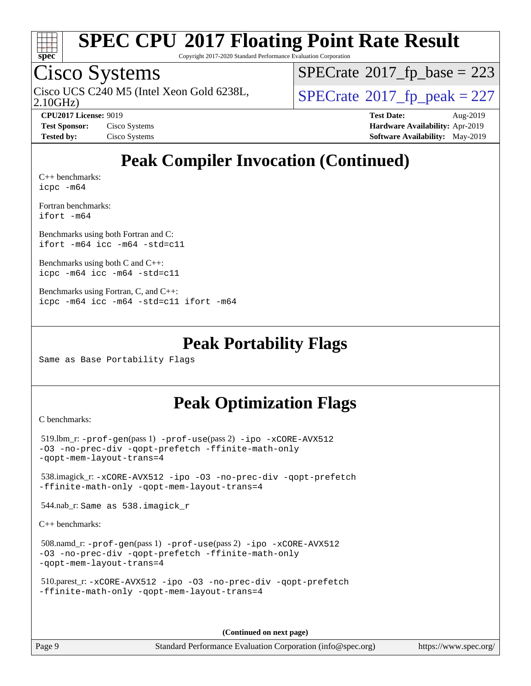

Copyright 2017-2020 Standard Performance Evaluation Corporation

### Cisco Systems

2.10GHz) Cisco UCS C240 M5 (Intel Xeon Gold 6238L,  $SPECrate@2017_fp\_peak = 227$  $SPECrate@2017_fp\_peak = 227$ 

 $SPECTate$ <sup>®</sup>[2017\\_fp\\_base =](http://www.spec.org/auto/cpu2017/Docs/result-fields.html#SPECrate2017fpbase) 223

**[CPU2017 License:](http://www.spec.org/auto/cpu2017/Docs/result-fields.html#CPU2017License)** 9019 **[Test Date:](http://www.spec.org/auto/cpu2017/Docs/result-fields.html#TestDate)** Aug-2019 **[Test Sponsor:](http://www.spec.org/auto/cpu2017/Docs/result-fields.html#TestSponsor)** Cisco Systems **[Hardware Availability:](http://www.spec.org/auto/cpu2017/Docs/result-fields.html#HardwareAvailability)** Apr-2019 **[Tested by:](http://www.spec.org/auto/cpu2017/Docs/result-fields.html#Testedby)** Cisco Systems **[Software Availability:](http://www.spec.org/auto/cpu2017/Docs/result-fields.html#SoftwareAvailability)** May-2019

### **[Peak Compiler Invocation \(Continued\)](http://www.spec.org/auto/cpu2017/Docs/result-fields.html#PeakCompilerInvocation)**

[C++ benchmarks:](http://www.spec.org/auto/cpu2017/Docs/result-fields.html#CXXbenchmarks) [icpc -m64](http://www.spec.org/cpu2017/results/res2019q3/cpu2017-20190819-16779.flags.html#user_CXXpeak_intel_icpc_64bit_4ecb2543ae3f1412ef961e0650ca070fec7b7afdcd6ed48761b84423119d1bf6bdf5cad15b44d48e7256388bc77273b966e5eb805aefd121eb22e9299b2ec9d9)

[Fortran benchmarks](http://www.spec.org/auto/cpu2017/Docs/result-fields.html#Fortranbenchmarks): [ifort -m64](http://www.spec.org/cpu2017/results/res2019q3/cpu2017-20190819-16779.flags.html#user_FCpeak_intel_ifort_64bit_24f2bb282fbaeffd6157abe4f878425411749daecae9a33200eee2bee2fe76f3b89351d69a8130dd5949958ce389cf37ff59a95e7a40d588e8d3a57e0c3fd751)

[Benchmarks using both Fortran and C](http://www.spec.org/auto/cpu2017/Docs/result-fields.html#BenchmarksusingbothFortranandC): [ifort -m64](http://www.spec.org/cpu2017/results/res2019q3/cpu2017-20190819-16779.flags.html#user_CC_FCpeak_intel_ifort_64bit_24f2bb282fbaeffd6157abe4f878425411749daecae9a33200eee2bee2fe76f3b89351d69a8130dd5949958ce389cf37ff59a95e7a40d588e8d3a57e0c3fd751) [icc -m64 -std=c11](http://www.spec.org/cpu2017/results/res2019q3/cpu2017-20190819-16779.flags.html#user_CC_FCpeak_intel_icc_64bit_c11_33ee0cdaae7deeeab2a9725423ba97205ce30f63b9926c2519791662299b76a0318f32ddfffdc46587804de3178b4f9328c46fa7c2b0cd779d7a61945c91cd35)

[Benchmarks using both C and C++](http://www.spec.org/auto/cpu2017/Docs/result-fields.html#BenchmarksusingbothCandCXX): [icpc -m64](http://www.spec.org/cpu2017/results/res2019q3/cpu2017-20190819-16779.flags.html#user_CC_CXXpeak_intel_icpc_64bit_4ecb2543ae3f1412ef961e0650ca070fec7b7afdcd6ed48761b84423119d1bf6bdf5cad15b44d48e7256388bc77273b966e5eb805aefd121eb22e9299b2ec9d9) [icc -m64 -std=c11](http://www.spec.org/cpu2017/results/res2019q3/cpu2017-20190819-16779.flags.html#user_CC_CXXpeak_intel_icc_64bit_c11_33ee0cdaae7deeeab2a9725423ba97205ce30f63b9926c2519791662299b76a0318f32ddfffdc46587804de3178b4f9328c46fa7c2b0cd779d7a61945c91cd35)

```
Benchmarks using Fortran, C, and C++: 
icpc -m64 icc -m64 -std=c11 ifort -m64
```
#### **[Peak Portability Flags](http://www.spec.org/auto/cpu2017/Docs/result-fields.html#PeakPortabilityFlags)**

Same as Base Portability Flags

#### **[Peak Optimization Flags](http://www.spec.org/auto/cpu2017/Docs/result-fields.html#PeakOptimizationFlags)**

[C benchmarks](http://www.spec.org/auto/cpu2017/Docs/result-fields.html#Cbenchmarks):

```
 519.lbm_r: -prof-gen(pass 1) -prof-use(pass 2) -ipo -xCORE-AVX512
-O3 -no-prec-div -qopt-prefetch -ffinite-math-only
-qopt-mem-layout-trans=4
 538.imagick_r: -xCORE-AVX512 -ipo -O3 -no-prec-div -qopt-prefetch
-ffinite-math-only -qopt-mem-layout-trans=4
 544.nab_r: Same as 538.imagick_r
```
[C++ benchmarks:](http://www.spec.org/auto/cpu2017/Docs/result-fields.html#CXXbenchmarks)

```
 508.namd_r: -prof-gen(pass 1) -prof-use(pass 2) -ipo -xCORE-AVX512
-O3 -no-prec-div -qopt-prefetch -ffinite-math-only
-qopt-mem-layout-trans=4
```

```
 510.parest_r: -xCORE-AVX512 -ipo -O3 -no-prec-div -qopt-prefetch
-ffinite-math-only -qopt-mem-layout-trans=4
```
**(Continued on next page)**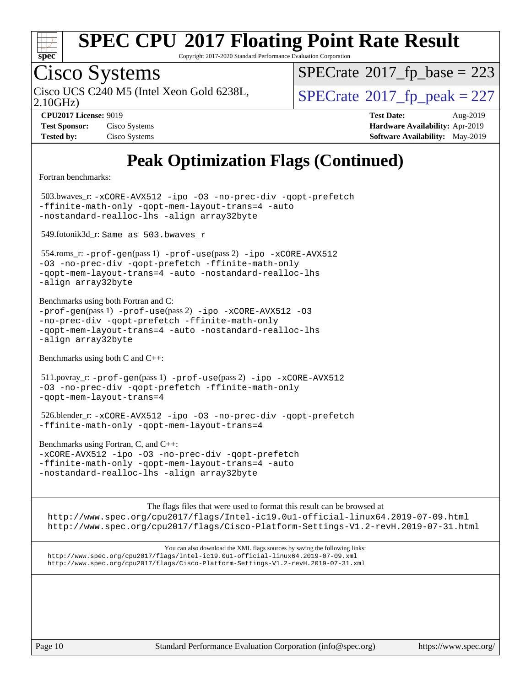

Copyright 2017-2020 Standard Performance Evaluation Corporation

## Cisco Systems

 $SPECTate$ <sup>®</sup>[2017\\_fp\\_base =](http://www.spec.org/auto/cpu2017/Docs/result-fields.html#SPECrate2017fpbase) 223

2.10GHz)

Cisco UCS C240 M5 (Intel Xeon Gold 6238L,  $SPECrate@2017_fp\_peak = 227$  $SPECrate@2017_fp\_peak = 227$ 

**[Tested by:](http://www.spec.org/auto/cpu2017/Docs/result-fields.html#Testedby)** Cisco Systems **[Software Availability:](http://www.spec.org/auto/cpu2017/Docs/result-fields.html#SoftwareAvailability)** May-2019

**[CPU2017 License:](http://www.spec.org/auto/cpu2017/Docs/result-fields.html#CPU2017License)** 9019 **[Test Date:](http://www.spec.org/auto/cpu2017/Docs/result-fields.html#TestDate)** Aug-2019 **[Test Sponsor:](http://www.spec.org/auto/cpu2017/Docs/result-fields.html#TestSponsor)** Cisco Systems **[Hardware Availability:](http://www.spec.org/auto/cpu2017/Docs/result-fields.html#HardwareAvailability)** Apr-2019

### **[Peak Optimization Flags \(Continued\)](http://www.spec.org/auto/cpu2017/Docs/result-fields.html#PeakOptimizationFlags)**

[Fortran benchmarks](http://www.spec.org/auto/cpu2017/Docs/result-fields.html#Fortranbenchmarks):

 503.bwaves\_r: [-xCORE-AVX512](http://www.spec.org/cpu2017/results/res2019q3/cpu2017-20190819-16779.flags.html#user_peakFOPTIMIZE503_bwaves_r_f-xCORE-AVX512) [-ipo](http://www.spec.org/cpu2017/results/res2019q3/cpu2017-20190819-16779.flags.html#user_peakFOPTIMIZE503_bwaves_r_f-ipo) [-O3](http://www.spec.org/cpu2017/results/res2019q3/cpu2017-20190819-16779.flags.html#user_peakFOPTIMIZE503_bwaves_r_f-O3) [-no-prec-div](http://www.spec.org/cpu2017/results/res2019q3/cpu2017-20190819-16779.flags.html#user_peakFOPTIMIZE503_bwaves_r_f-no-prec-div) [-qopt-prefetch](http://www.spec.org/cpu2017/results/res2019q3/cpu2017-20190819-16779.flags.html#user_peakFOPTIMIZE503_bwaves_r_f-qopt-prefetch) [-ffinite-math-only](http://www.spec.org/cpu2017/results/res2019q3/cpu2017-20190819-16779.flags.html#user_peakFOPTIMIZE503_bwaves_r_f_finite_math_only_cb91587bd2077682c4b38af759c288ed7c732db004271a9512da14a4f8007909a5f1427ecbf1a0fb78ff2a814402c6114ac565ca162485bbcae155b5e4258871) [-qopt-mem-layout-trans=4](http://www.spec.org/cpu2017/results/res2019q3/cpu2017-20190819-16779.flags.html#user_peakFOPTIMIZE503_bwaves_r_f-qopt-mem-layout-trans_fa39e755916c150a61361b7846f310bcdf6f04e385ef281cadf3647acec3f0ae266d1a1d22d972a7087a248fd4e6ca390a3634700869573d231a252c784941a8) [-auto](http://www.spec.org/cpu2017/results/res2019q3/cpu2017-20190819-16779.flags.html#user_peakFOPTIMIZE503_bwaves_r_f-auto) [-nostandard-realloc-lhs](http://www.spec.org/cpu2017/results/res2019q3/cpu2017-20190819-16779.flags.html#user_peakEXTRA_FOPTIMIZE503_bwaves_r_f_2003_std_realloc_82b4557e90729c0f113870c07e44d33d6f5a304b4f63d4c15d2d0f1fab99f5daaed73bdb9275d9ae411527f28b936061aa8b9c8f2d63842963b95c9dd6426b8a) [-align array32byte](http://www.spec.org/cpu2017/results/res2019q3/cpu2017-20190819-16779.flags.html#user_peakEXTRA_FOPTIMIZE503_bwaves_r_align_array32byte_b982fe038af199962ba9a80c053b8342c548c85b40b8e86eb3cc33dee0d7986a4af373ac2d51c3f7cf710a18d62fdce2948f201cd044323541f22fc0fffc51b6)

549.fotonik3d\_r: Same as 503.bwaves\_r

 554.roms\_r: [-prof-gen](http://www.spec.org/cpu2017/results/res2019q3/cpu2017-20190819-16779.flags.html#user_peakPASS1_FFLAGSPASS1_LDFLAGS554_roms_r_prof_gen_5aa4926d6013ddb2a31985c654b3eb18169fc0c6952a63635c234f711e6e63dd76e94ad52365559451ec499a2cdb89e4dc58ba4c67ef54ca681ffbe1461d6b36)(pass 1) [-prof-use](http://www.spec.org/cpu2017/results/res2019q3/cpu2017-20190819-16779.flags.html#user_peakPASS2_FFLAGSPASS2_LDFLAGS554_roms_r_prof_use_1a21ceae95f36a2b53c25747139a6c16ca95bd9def2a207b4f0849963b97e94f5260e30a0c64f4bb623698870e679ca08317ef8150905d41bd88c6f78df73f19)(pass 2) [-ipo](http://www.spec.org/cpu2017/results/res2019q3/cpu2017-20190819-16779.flags.html#user_peakPASS1_FOPTIMIZEPASS2_FOPTIMIZE554_roms_r_f-ipo) [-xCORE-AVX512](http://www.spec.org/cpu2017/results/res2019q3/cpu2017-20190819-16779.flags.html#user_peakPASS2_FOPTIMIZE554_roms_r_f-xCORE-AVX512) [-O3](http://www.spec.org/cpu2017/results/res2019q3/cpu2017-20190819-16779.flags.html#user_peakPASS1_FOPTIMIZEPASS2_FOPTIMIZE554_roms_r_f-O3) [-no-prec-div](http://www.spec.org/cpu2017/results/res2019q3/cpu2017-20190819-16779.flags.html#user_peakPASS1_FOPTIMIZEPASS2_FOPTIMIZE554_roms_r_f-no-prec-div) [-qopt-prefetch](http://www.spec.org/cpu2017/results/res2019q3/cpu2017-20190819-16779.flags.html#user_peakPASS1_FOPTIMIZEPASS2_FOPTIMIZE554_roms_r_f-qopt-prefetch) [-ffinite-math-only](http://www.spec.org/cpu2017/results/res2019q3/cpu2017-20190819-16779.flags.html#user_peakPASS1_FOPTIMIZEPASS2_FOPTIMIZE554_roms_r_f_finite_math_only_cb91587bd2077682c4b38af759c288ed7c732db004271a9512da14a4f8007909a5f1427ecbf1a0fb78ff2a814402c6114ac565ca162485bbcae155b5e4258871) [-qopt-mem-layout-trans=4](http://www.spec.org/cpu2017/results/res2019q3/cpu2017-20190819-16779.flags.html#user_peakPASS1_FOPTIMIZEPASS2_FOPTIMIZE554_roms_r_f-qopt-mem-layout-trans_fa39e755916c150a61361b7846f310bcdf6f04e385ef281cadf3647acec3f0ae266d1a1d22d972a7087a248fd4e6ca390a3634700869573d231a252c784941a8) [-auto](http://www.spec.org/cpu2017/results/res2019q3/cpu2017-20190819-16779.flags.html#user_peakPASS2_FOPTIMIZE554_roms_r_f-auto) [-nostandard-realloc-lhs](http://www.spec.org/cpu2017/results/res2019q3/cpu2017-20190819-16779.flags.html#user_peakEXTRA_FOPTIMIZE554_roms_r_f_2003_std_realloc_82b4557e90729c0f113870c07e44d33d6f5a304b4f63d4c15d2d0f1fab99f5daaed73bdb9275d9ae411527f28b936061aa8b9c8f2d63842963b95c9dd6426b8a) [-align array32byte](http://www.spec.org/cpu2017/results/res2019q3/cpu2017-20190819-16779.flags.html#user_peakEXTRA_FOPTIMIZE554_roms_r_align_array32byte_b982fe038af199962ba9a80c053b8342c548c85b40b8e86eb3cc33dee0d7986a4af373ac2d51c3f7cf710a18d62fdce2948f201cd044323541f22fc0fffc51b6)

[Benchmarks using both Fortran and C](http://www.spec.org/auto/cpu2017/Docs/result-fields.html#BenchmarksusingbothFortranandC):  $-prof-qen(pass 1) -prof-use(pass 2) -ipo -xCORE-AVX512 -O3$  $-prof-qen(pass 1) -prof-use(pass 2) -ipo -xCORE-AVX512 -O3$  $-prof-qen(pass 1) -prof-use(pass 2) -ipo -xCORE-AVX512 -O3$  $-prof-qen(pass 1) -prof-use(pass 2) -ipo -xCORE-AVX512 -O3$  $-prof-qen(pass 1) -prof-use(pass 2) -ipo -xCORE-AVX512 -O3$  $-prof-qen(pass 1) -prof-use(pass 2) -ipo -xCORE-AVX512 -O3$  $-prof-qen(pass 1) -prof-use(pass 2) -ipo -xCORE-AVX512 -O3$  $-prof-qen(pass 1) -prof-use(pass 2) -ipo -xCORE-AVX512 -O3$ [-no-prec-div](http://www.spec.org/cpu2017/results/res2019q3/cpu2017-20190819-16779.flags.html#user_CC_FCpeak_f-no-prec-div) [-qopt-prefetch](http://www.spec.org/cpu2017/results/res2019q3/cpu2017-20190819-16779.flags.html#user_CC_FCpeak_f-qopt-prefetch) [-ffinite-math-only](http://www.spec.org/cpu2017/results/res2019q3/cpu2017-20190819-16779.flags.html#user_CC_FCpeak_f_finite_math_only_cb91587bd2077682c4b38af759c288ed7c732db004271a9512da14a4f8007909a5f1427ecbf1a0fb78ff2a814402c6114ac565ca162485bbcae155b5e4258871) [-qopt-mem-layout-trans=4](http://www.spec.org/cpu2017/results/res2019q3/cpu2017-20190819-16779.flags.html#user_CC_FCpeak_f-qopt-mem-layout-trans_fa39e755916c150a61361b7846f310bcdf6f04e385ef281cadf3647acec3f0ae266d1a1d22d972a7087a248fd4e6ca390a3634700869573d231a252c784941a8) [-auto](http://www.spec.org/cpu2017/results/res2019q3/cpu2017-20190819-16779.flags.html#user_CC_FCpeak_f-auto) [-nostandard-realloc-lhs](http://www.spec.org/cpu2017/results/res2019q3/cpu2017-20190819-16779.flags.html#user_CC_FCpeak_f_2003_std_realloc_82b4557e90729c0f113870c07e44d33d6f5a304b4f63d4c15d2d0f1fab99f5daaed73bdb9275d9ae411527f28b936061aa8b9c8f2d63842963b95c9dd6426b8a) [-align array32byte](http://www.spec.org/cpu2017/results/res2019q3/cpu2017-20190819-16779.flags.html#user_CC_FCpeak_align_array32byte_b982fe038af199962ba9a80c053b8342c548c85b40b8e86eb3cc33dee0d7986a4af373ac2d51c3f7cf710a18d62fdce2948f201cd044323541f22fc0fffc51b6)

[Benchmarks using both C and C++](http://www.spec.org/auto/cpu2017/Docs/result-fields.html#BenchmarksusingbothCandCXX):

 511.povray\_r: [-prof-gen](http://www.spec.org/cpu2017/results/res2019q3/cpu2017-20190819-16779.flags.html#user_peakPASS1_CFLAGSPASS1_CXXFLAGSPASS1_LDFLAGS511_povray_r_prof_gen_5aa4926d6013ddb2a31985c654b3eb18169fc0c6952a63635c234f711e6e63dd76e94ad52365559451ec499a2cdb89e4dc58ba4c67ef54ca681ffbe1461d6b36)(pass 1) [-prof-use](http://www.spec.org/cpu2017/results/res2019q3/cpu2017-20190819-16779.flags.html#user_peakPASS2_CFLAGSPASS2_CXXFLAGSPASS2_LDFLAGS511_povray_r_prof_use_1a21ceae95f36a2b53c25747139a6c16ca95bd9def2a207b4f0849963b97e94f5260e30a0c64f4bb623698870e679ca08317ef8150905d41bd88c6f78df73f19)(pass 2) [-ipo](http://www.spec.org/cpu2017/results/res2019q3/cpu2017-20190819-16779.flags.html#user_peakPASS1_COPTIMIZEPASS1_CXXOPTIMIZEPASS2_COPTIMIZEPASS2_CXXOPTIMIZE511_povray_r_f-ipo) [-xCORE-AVX512](http://www.spec.org/cpu2017/results/res2019q3/cpu2017-20190819-16779.flags.html#user_peakPASS2_COPTIMIZEPASS2_CXXOPTIMIZE511_povray_r_f-xCORE-AVX512) [-O3](http://www.spec.org/cpu2017/results/res2019q3/cpu2017-20190819-16779.flags.html#user_peakPASS1_COPTIMIZEPASS1_CXXOPTIMIZEPASS2_COPTIMIZEPASS2_CXXOPTIMIZE511_povray_r_f-O3) [-no-prec-div](http://www.spec.org/cpu2017/results/res2019q3/cpu2017-20190819-16779.flags.html#user_peakPASS1_COPTIMIZEPASS1_CXXOPTIMIZEPASS2_COPTIMIZEPASS2_CXXOPTIMIZE511_povray_r_f-no-prec-div) [-qopt-prefetch](http://www.spec.org/cpu2017/results/res2019q3/cpu2017-20190819-16779.flags.html#user_peakPASS1_COPTIMIZEPASS1_CXXOPTIMIZEPASS2_COPTIMIZEPASS2_CXXOPTIMIZE511_povray_r_f-qopt-prefetch) [-ffinite-math-only](http://www.spec.org/cpu2017/results/res2019q3/cpu2017-20190819-16779.flags.html#user_peakPASS1_COPTIMIZEPASS1_CXXOPTIMIZEPASS2_COPTIMIZEPASS2_CXXOPTIMIZE511_povray_r_f_finite_math_only_cb91587bd2077682c4b38af759c288ed7c732db004271a9512da14a4f8007909a5f1427ecbf1a0fb78ff2a814402c6114ac565ca162485bbcae155b5e4258871) [-qopt-mem-layout-trans=4](http://www.spec.org/cpu2017/results/res2019q3/cpu2017-20190819-16779.flags.html#user_peakPASS1_COPTIMIZEPASS1_CXXOPTIMIZEPASS2_COPTIMIZEPASS2_CXXOPTIMIZE511_povray_r_f-qopt-mem-layout-trans_fa39e755916c150a61361b7846f310bcdf6f04e385ef281cadf3647acec3f0ae266d1a1d22d972a7087a248fd4e6ca390a3634700869573d231a252c784941a8)

 526.blender\_r: [-xCORE-AVX512](http://www.spec.org/cpu2017/results/res2019q3/cpu2017-20190819-16779.flags.html#user_peakCOPTIMIZECXXOPTIMIZE526_blender_r_f-xCORE-AVX512) [-ipo](http://www.spec.org/cpu2017/results/res2019q3/cpu2017-20190819-16779.flags.html#user_peakCOPTIMIZECXXOPTIMIZE526_blender_r_f-ipo) [-O3](http://www.spec.org/cpu2017/results/res2019q3/cpu2017-20190819-16779.flags.html#user_peakCOPTIMIZECXXOPTIMIZE526_blender_r_f-O3) [-no-prec-div](http://www.spec.org/cpu2017/results/res2019q3/cpu2017-20190819-16779.flags.html#user_peakCOPTIMIZECXXOPTIMIZE526_blender_r_f-no-prec-div) [-qopt-prefetch](http://www.spec.org/cpu2017/results/res2019q3/cpu2017-20190819-16779.flags.html#user_peakCOPTIMIZECXXOPTIMIZE526_blender_r_f-qopt-prefetch) [-ffinite-math-only](http://www.spec.org/cpu2017/results/res2019q3/cpu2017-20190819-16779.flags.html#user_peakCOPTIMIZECXXOPTIMIZE526_blender_r_f_finite_math_only_cb91587bd2077682c4b38af759c288ed7c732db004271a9512da14a4f8007909a5f1427ecbf1a0fb78ff2a814402c6114ac565ca162485bbcae155b5e4258871) [-qopt-mem-layout-trans=4](http://www.spec.org/cpu2017/results/res2019q3/cpu2017-20190819-16779.flags.html#user_peakCOPTIMIZECXXOPTIMIZE526_blender_r_f-qopt-mem-layout-trans_fa39e755916c150a61361b7846f310bcdf6f04e385ef281cadf3647acec3f0ae266d1a1d22d972a7087a248fd4e6ca390a3634700869573d231a252c784941a8)

[Benchmarks using Fortran, C, and C++:](http://www.spec.org/auto/cpu2017/Docs/result-fields.html#BenchmarksusingFortranCandCXX) [-xCORE-AVX512](http://www.spec.org/cpu2017/results/res2019q3/cpu2017-20190819-16779.flags.html#user_CC_CXX_FCpeak_f-xCORE-AVX512) [-ipo](http://www.spec.org/cpu2017/results/res2019q3/cpu2017-20190819-16779.flags.html#user_CC_CXX_FCpeak_f-ipo) [-O3](http://www.spec.org/cpu2017/results/res2019q3/cpu2017-20190819-16779.flags.html#user_CC_CXX_FCpeak_f-O3) [-no-prec-div](http://www.spec.org/cpu2017/results/res2019q3/cpu2017-20190819-16779.flags.html#user_CC_CXX_FCpeak_f-no-prec-div) [-qopt-prefetch](http://www.spec.org/cpu2017/results/res2019q3/cpu2017-20190819-16779.flags.html#user_CC_CXX_FCpeak_f-qopt-prefetch) [-ffinite-math-only](http://www.spec.org/cpu2017/results/res2019q3/cpu2017-20190819-16779.flags.html#user_CC_CXX_FCpeak_f_finite_math_only_cb91587bd2077682c4b38af759c288ed7c732db004271a9512da14a4f8007909a5f1427ecbf1a0fb78ff2a814402c6114ac565ca162485bbcae155b5e4258871) [-qopt-mem-layout-trans=4](http://www.spec.org/cpu2017/results/res2019q3/cpu2017-20190819-16779.flags.html#user_CC_CXX_FCpeak_f-qopt-mem-layout-trans_fa39e755916c150a61361b7846f310bcdf6f04e385ef281cadf3647acec3f0ae266d1a1d22d972a7087a248fd4e6ca390a3634700869573d231a252c784941a8) [-auto](http://www.spec.org/cpu2017/results/res2019q3/cpu2017-20190819-16779.flags.html#user_CC_CXX_FCpeak_f-auto) [-nostandard-realloc-lhs](http://www.spec.org/cpu2017/results/res2019q3/cpu2017-20190819-16779.flags.html#user_CC_CXX_FCpeak_f_2003_std_realloc_82b4557e90729c0f113870c07e44d33d6f5a304b4f63d4c15d2d0f1fab99f5daaed73bdb9275d9ae411527f28b936061aa8b9c8f2d63842963b95c9dd6426b8a) [-align array32byte](http://www.spec.org/cpu2017/results/res2019q3/cpu2017-20190819-16779.flags.html#user_CC_CXX_FCpeak_align_array32byte_b982fe038af199962ba9a80c053b8342c548c85b40b8e86eb3cc33dee0d7986a4af373ac2d51c3f7cf710a18d62fdce2948f201cd044323541f22fc0fffc51b6)

[The flags files that were used to format this result can be browsed at](tmsearch) <http://www.spec.org/cpu2017/flags/Intel-ic19.0u1-official-linux64.2019-07-09.html> <http://www.spec.org/cpu2017/flags/Cisco-Platform-Settings-V1.2-revH.2019-07-31.html>

[You can also download the XML flags sources by saving the following links:](tmsearch) <http://www.spec.org/cpu2017/flags/Intel-ic19.0u1-official-linux64.2019-07-09.xml> <http://www.spec.org/cpu2017/flags/Cisco-Platform-Settings-V1.2-revH.2019-07-31.xml>